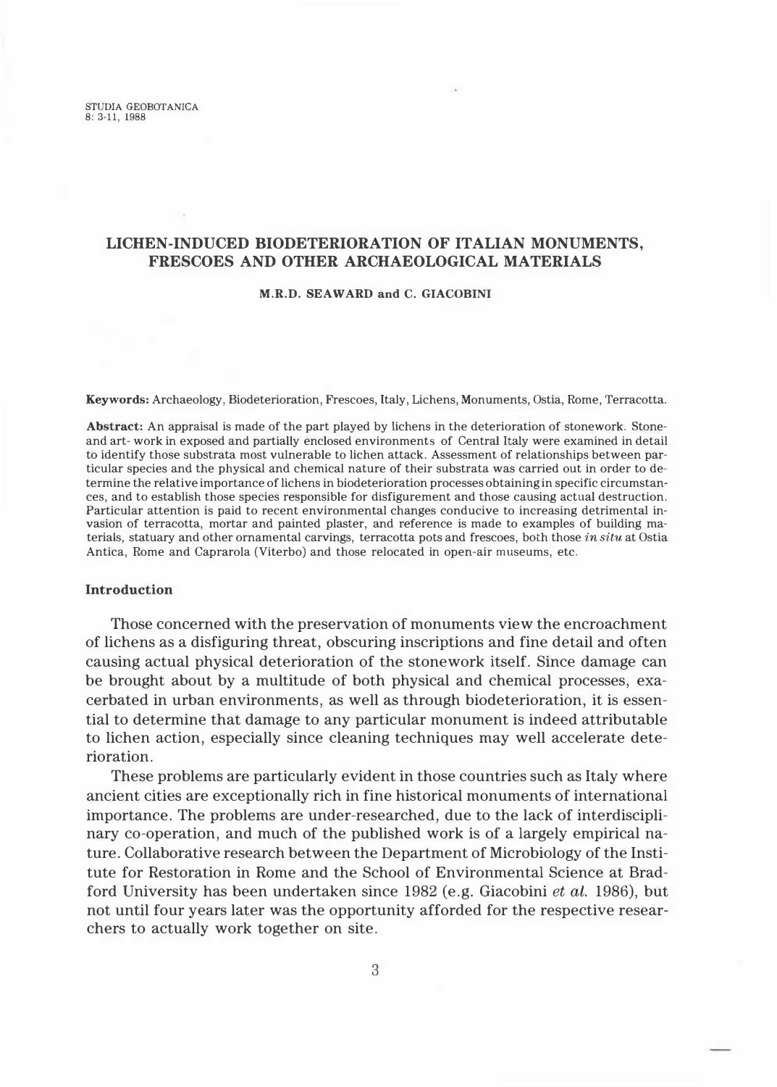# **LICHEN-INDUCED BIODETERIORATION OF ITALIAN MONUMENTS, FRESCOES AND OTHER ARCHAEOLOGICAL MATERIALS**

#### **M.R.D. SEAWARD and C. GIACOBINI**

**Keywords:** Archaeology, Biodeterioration, Frescoes, Italy, Lichens, Monuments, Ostia, Rome, Terracotta.

**Abstract:** An appraisal is made of the part played by lichens in the deterioration of stonework. Stoneand art- work in exposed and partially enclosed environments of Centrai Italy were examined in detail to identify those substrata most vulnerable to lichen attack. Assessment of relationships between particular species and the physical and chemical nature of their substrata was carried out in order to determine the relative importance of lichens in biodeterioration processes obtaining in specific circumstances, and to establish those species responsible for disfigurement and those causing actual destruction. Particular attention is paid to recent environmental changes conducive to increasing detrimental invasion of terracotta, mortar and painted plaster, and reference is made to examples of building materials, statuary and other ornamental carvings, terracotta pots and frescoes, both those *in situ* at Ostia Antica, Rome and Caprarola (Viterbo) and those relocated in open-air museums, etc.

#### **lntroduction**

Those concerned with the preservation of monuments view the encroachment of lichens as a disfiguring threat, obscuring inscriptions and fine detail and often causing actual physical deterioration of the stonework itself. Since damage can be brought about by a multitude of both physical and chemical processes, exacerbated in urban environments, as well as through biodeterioration, it is essential to determine that damage to any particular monument is indeed attributable to lichen action, especially since cleaning techniques may well accelerate deterioration.

These problems are particularly evident in those countries such as Italy where ancient cities are exceptionally rich in fine historical monuments of international importance. The problems are under-researched, due to the lack of interdisciplinary co-operation, and much of the published work is of a largely empirical nature. Collaborative research between the Department of Microbiology of the Institute for Restoration in Rome and the School of Environmental Science at Bradford University has been undertaken since 1982 (e.g. Giacobini *et al.* 1986), but not until four years later was the opportunity afforded for the respective researchers to actually work together on site.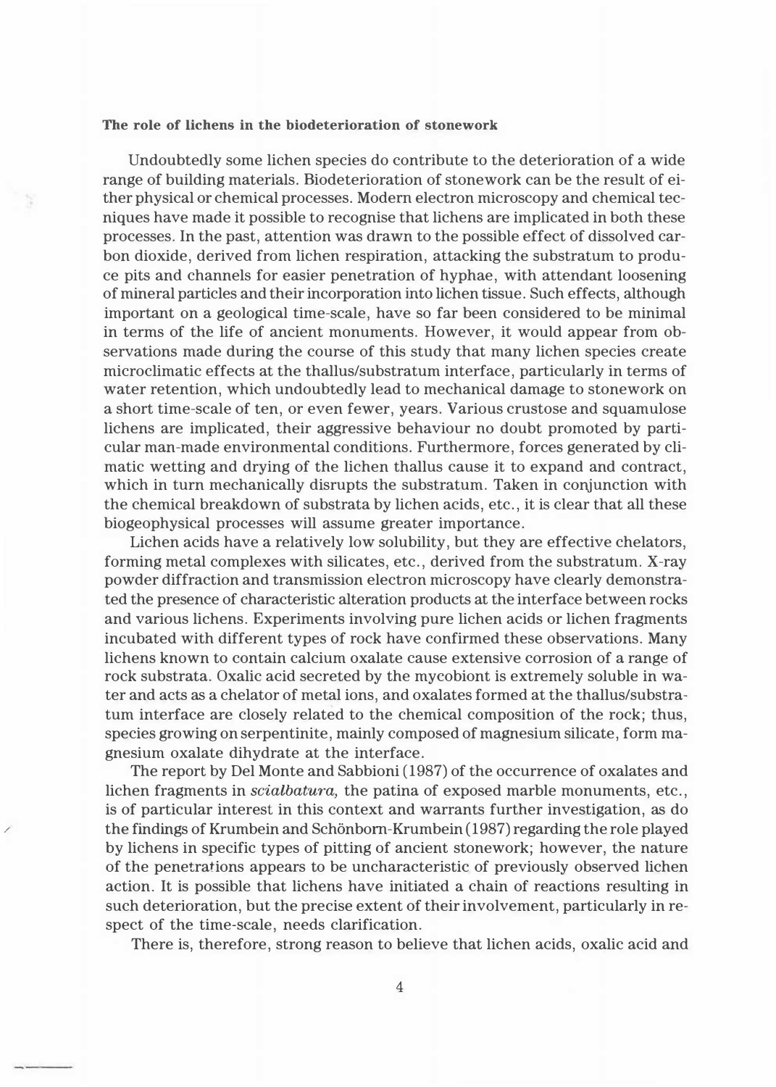#### **The role of lichens in the biodeterioration of stonework**

Undoubtedly some lichen species do contribute to the deterioration of a wide range of building materials. Biodeterioration of stonework can be the result of either physical or chemical processes. Modem electron microscopy and chemical tecniques have made it possible to recognise that lichens are implicated in both these processes. In the past, attention was drawn to the possible effect of dissolved carbon dioxide, derived from lichen respiration, attacking the substratum to produce pits and channels for easier penetration of hyphae, with attendant loosening of mineral particles and their incorporation into lichen tissue. Such effects, although important on a geologica! time-scale, have so far been considered to be minimal in terms of the life of ancient monuments. However, it would appear from observations made during the course of this study that many lichen species create microclimatic effects at the thallus/substratum interface, particularly in terms of water retention, which undoubtedly lead to mechanical damage to stonework on a short time-scale of ten, or even fewer, years. Various crustose and squamulose lichens are implicated, their aggressive behaviour no doubt promoted by particular man-made environmental conditions. Furthermore, forces generated by climatic wetting and drying of the lichen thallus cause it to expand and contract, which in turn mechanically disrupts the substratum. Taken in conjunction with the chemical breakdown of substrata by lichen acids, etc., it is clear that all these biogeophysical processes will assume greater importance.

Lichen acids have a relatively low solubility, but they are effective chelators, forming metal complexes with silicates, etc., derived from the substratum. X-ray powder diffraction and transmission electron microscopy have clearly demonstrated the presence of characteristic alteration products at the interface between rocks and various lichens. Experiments involving pure lichen acids or lichen fragments incubated with different types of rock have confirmed these observations. Many lichens known to contain calcium oxalate cause extensive corrosion of a range of rock substrata. Oxalic acid secreted by the mycobiont is extremely soluble in water and acts as a chelator of metal ions, and oxalates formed at the thallus/substratum interface are closely related to the chemical composition of the rock; thus, species growing on serpentinite, mainly composed of magnesium silicate, form magnesium oxalate dihydrate at the interface.

The report by Del Monte and Sabbioni (1987) of the occurrence of oxalates and lichen fragments in *scialbatura,* the patina of exposed marble monuments, etc., is of particular interest in this context and warrants further investigation, as do the findings of Krumbein and Schönborn-Krumbein (1987) regarding the role played by lichens in specific types of pitting of ancient stonework; however, the nature of the penetrations appears to be uncharacteristic of previously observed lichen action. It is possible that lichens have initiated a chain of reactions resulting in such deterioration, but the precise extent of their involvement, particularly in respect of the time-scale, needs clarification.

*/* 

There is, therefore, strong reason to believe that lichen acids, oxalic acid and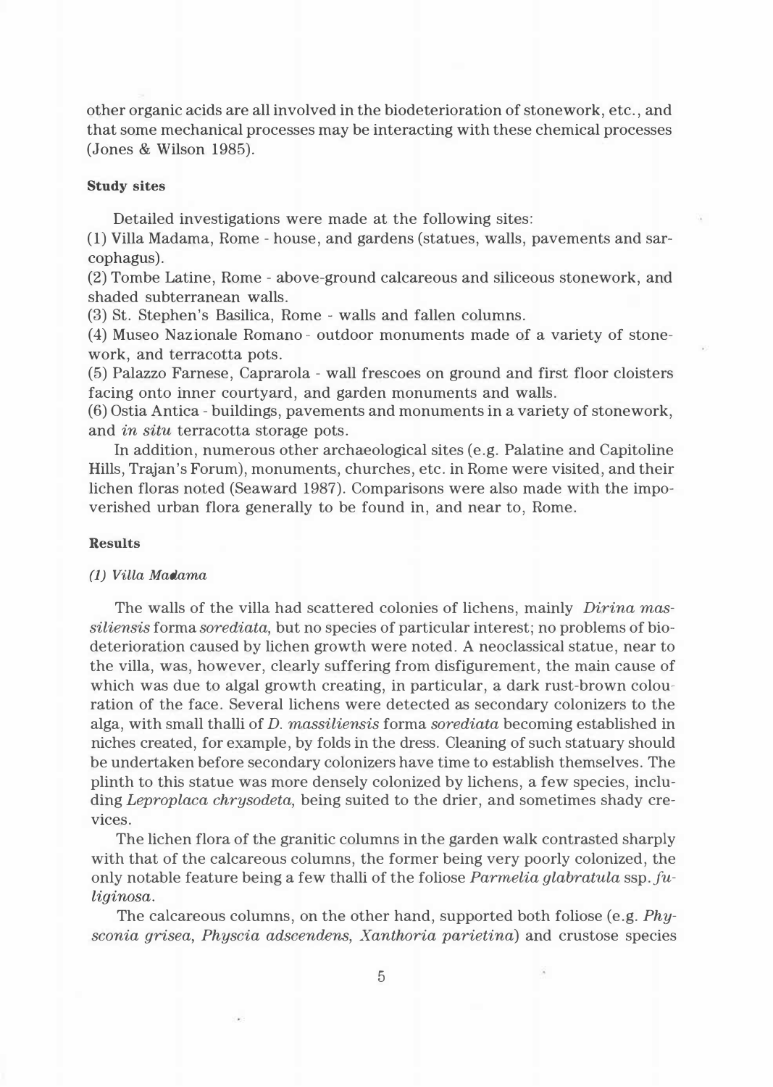other organic acids are all involved in the biodeterioration of stonework, etc., and that some mechanical processes may be interacting with these chemical processes (Jones & Wilson 1985).

## **Study sites**

Detailed investigations were made at the following sites:

(1) Villa Madama, Rome - house, and gardens (statues, walls, pavements and sarcophagus).

(2) Tombe Latine, Rome - above-ground calcareous and siliceous stonework, and shaded subterranean walls.

(3) St. Stephen's Basilica, Rome - walls and fallen columns.

(4) Museo Nazionale Romano - outdoor monuments made of a variety of stonework, and terracotta pots.

(5) Palazzo Farnese, Caprarola - wall frescoes on ground and first floor cloisters facing onto inner courtyard, and garden monuments and walls.

(6) Ostia Antica - buildings, pavements and monuments in a variety of stonework, and *in situ* terracotta storage pots.

In addition, numerous other archaeological sites (e.g. Palatine and Capitoline Hills, Trajan's Forum), monuments, churches, etc. in Rome were visited, and their lichen floras noted (Seaward 1987). Comparisons were also made with the impoverished urban flora generally to be found in, and near to, Rome.

### **Results**

### *(1) Villa Madama*

The walls of the villa had scattered colonies of lichens, mainly *Dirina massiliensis* forma *sorediata,* but no species of particular interest; no problems of biodeterioration caused by lichen growth were noted. A neoclassical statue, near to the villa, was, however, clearly suffering from disfigurement, the main cause of which was due to algal growth creating, in particular, a dark rust-brown colouration of the face. Several lichens were detected as secondary colonizers to the alga, with small thalli of *D. massiliensis* forma *sorediata* becoming established in niches created, for example, by folds in the dress. Cleaning of such statuary should be undertaken before secondary colonizers have time to establish themselves. The plinth to this statue was more densely colonized by lichens, a few species, including *Leproplaca chrysodeta,* being suited to the drier, and sometimes shady crevices.

The lichen flora of the granitic columns in the garden walk contrasted sharply with that of the calcareous columns, the former being very poorly colonized, the only notable feature being a few thalli of the foliose *Parmelia glabratula* ssp. *fuliginosa.* 

The calcareous columns, on the other hand, supported both foliose (e.g. *Physconia grisea, Physcia adscendens, Xanthoria parietina)* and crustose species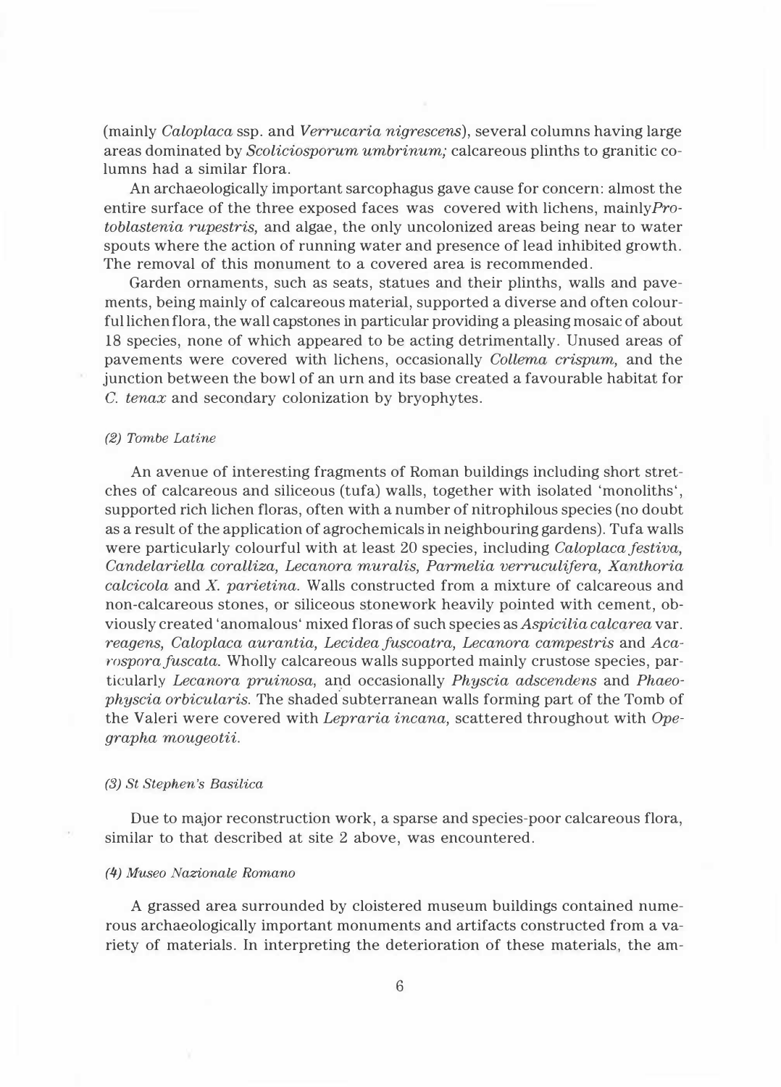(mainly *Caloplaca* ssp. and *Verrucaria nigrescens),* severa! columns having large areas dominated by *Scoliciosporum umbrinum;* calcareous plinths to granitic columns had a similar flora.

An archaeologically important sarcophagus gave cause for concern: almost the entire surface of the three exposed faces was covered with lichens, mainlyPro*toblastenia rupestris,* and algae, the only uncolonized areas being near to water spouts where the action of running water and presence of lead inhibited growth. The removal of this monument to a covered area is recommended.

Garden ornaments, such as seats, statues and their plinths, walls and pavements, being mainly of calcareous materiai, supported a diverse and often colourful lichen flora, the wall capstones in particular providing a pleasing mosaic of about 18 species, none of which appeared to be acting detrimentally. Unused areas of pavements were covered with lichens, occasionally *Collema crispum,* and the junction between the bowl of an urn and its base created a favourable habitat for *C. tenax* and secondary colonization by bryophytes.

### *(2) Tombe Latine*

An avenue of interesting fragments of Roman buildings including short stretches of calcareous and siliceous (tufa) walls, together with isolated 'monoliths', supported rich lichen floras, often with a number of nitrophilous species (no doubt as a result of the application of agrochemicals in neighbouring gardens). Tufa walls were particularly colourful with at least 20 species, including *Caloplaca festiva, Candelariella coralliza, Lecanora muralis, Parmelia verruculifera, Xanthoria calcicola* and *X. parietina.* Walls constructed from a mixture of calcareous and non-calcareous stones, or siliceous stonework heavily pointed with cement, obviously created 'anomalous' mixed floras of such species as *Aspicilia calcarea* var. *reagens, Caloplaca aurantia, Lecidea fuscoatra, Lecanora campestris* and *Acarospora fuscata.* Wholly calcareous walls supported mainly crustose species, paricularly *Lecanora pruinosa*, and occasionally *Physcia adscendens* and *Phaeophyscia orbicularis.* The shaded subterranean walls forming part of the Tomb of the Valeri were covered with *Lepraria incana,* scattered throughout with *Opegrapha mougeotii.* 

## *(3) St Stephen 's Basilica*

Due to major reconstruction work, a sparse and species-poor calcareous flora, similar to that described at site 2 above, was encountered.

#### *(4) Museo Nazionale Romano*

A grassed area surrounded by cloistered museum buildings contained numerous archaeologically important monuments and artifacts constructed from a variety of materials. In interpreting the deterioration of these materials, the am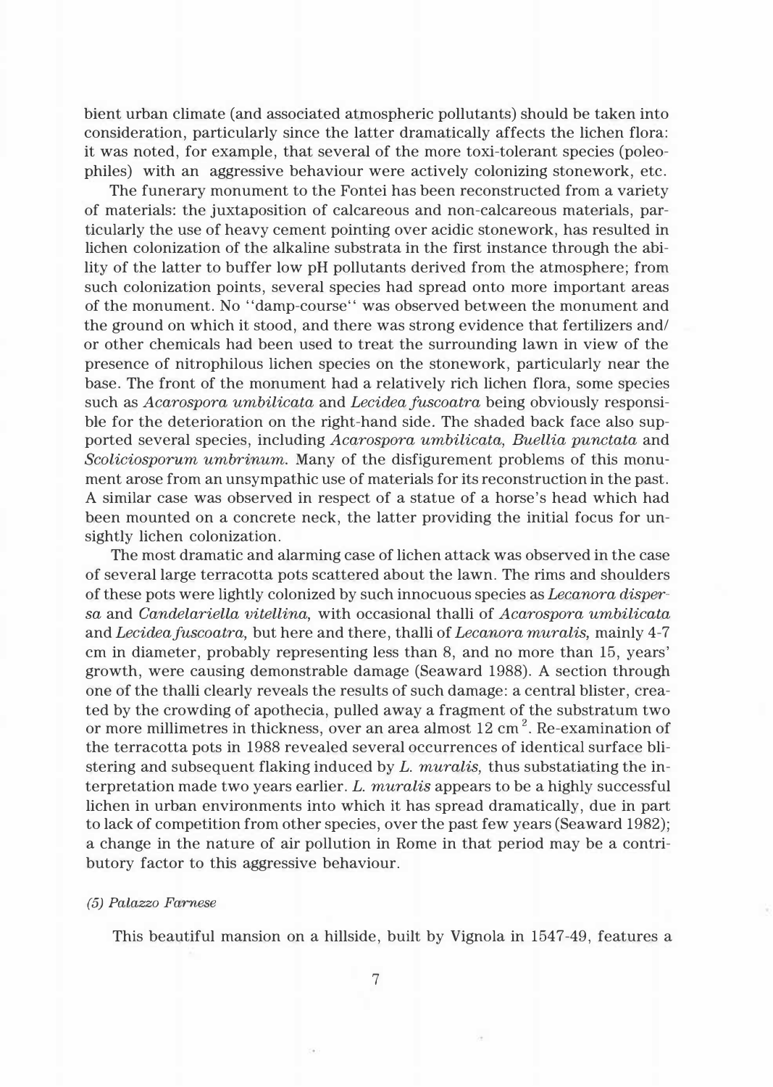bient urban climate (and associated atmospheric pollutants) should be taken into consideration, particularly since the latter dramatically affects the lichen flora: it was noted, for example, that several of the more toxi-tolerant species (poleophiles) with an aggressive behaviour were actively colonizing stonework, etc.

The funerary monument to the Fontei has been reconstructed from a variety of materials: the juxtaposition of calcareous and non-calcareous materials, particularly the use of heavy cement pointing over acidic stonework, has resulted in lichen colonization of the alkaline substrata in the first instance through the ability of the latter to buffer low pH pollutants derived from the atmosphere; from such colonization points, several species had spread onto more important areas of the monument. No "damp-course" was observed between the monument and the ground on which it stood, and there was strong evidence that fertilizers and/ or other chemicals had been used to treat the surrounding lawn in view of the presence of nitrophilous lichen species on the stonework, particularly near the base. The front of the monument had a relatively rich lichen flora, some species such as *Acarospora umbilicata* and *Lecidea fuscoatra* being obviously responsible for the deterioration on the right-hand side. The shaded back face also supported several species, including *Acarospora umbilicata, Buellia punctata* and *Scoliciosporum umbrinum.* Many of the disfigurement problems of this monument arose from an unsympathic use of materials for its reconstruction in the past. A similar case was observed in respect of a statue of a horse's head which had been mounted on a concrete neck, the latter providing the initial focus for unsightly lichen colonization.

The most dramatic and alarming case of lichen attack was observed in the case of several large terracotta pots scattered about the lawn. The rims and shoulders of these pots were lightly colonized by such innocuous species as *Lecanora dispersa* and *Candelariella vitellina,* with occasional thalli of *Acarospora umbilicata*  and *Lecideafuscoatra,* but here and there, thalli of *Lecanora muralis,* mainly 4-7 cm in diameter, probably representing less than 8, and no more than 15, years' growth, were causing demonstrable damage (Seaward 1988). A section through one of the thalli clearly reveals the results of such damage: a central blister, created by the crowding of apothecia, pulled away a fragment of the substratum two or more millimetres in thickness, over an area almost 12 cm<sup>2</sup>. Re-examination of the terracotta pots in 1988 revealed several occurrences of identical surface blistering and subsequent flaking induced by *L. muralis,* thus substatiating the interpretation made two years earlier. *L. muralis* appears to be a highly successful lichen in urban environments into which it has spread dramatically, due in part to lack of competition from other species, over the past few years (Seaward 1982); a change in the nature of air pollution in Rome in that period may be a contributory factor to this aggressive behaviour.

#### *(5) Palazzo Farnese*

This beautiful mansion on a hillside, built by Vignola in 1547-49, features a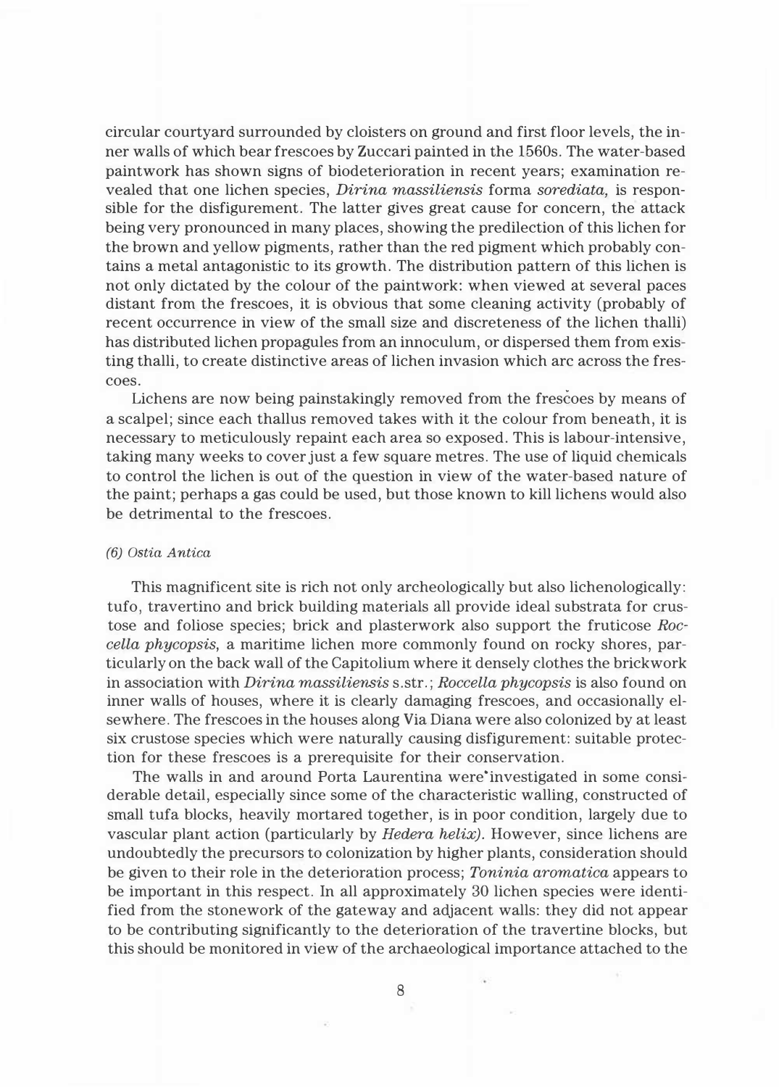circular courtyard surrounded by cloisters on ground and first floor levels, the inner walls of which bear frescoes by Zuccari painted in the 1560s. The water-based paintwork has shown signs of biodeterioration in recent years; examination revealed that one lichen species, *Dirina massiliensis* forma *sorediata,* is responsible for the disfigurement. The latter gives great cause for concern, the attack being very pronounced in many places, showing the predilection of this lichen for the brown and yellow pigments, rather than the red pigment which probably contains a metal antagonistic to its growth. The distribution pattern of this lichen is not only dictated by the colour of the paintwork: when viewed at severa! paces distant from the frescoes, it is obvious that some cleaning activity (probably of recent occurrence in view of the small size and discreteness of the lichen thalli) has distributed lichen propagules from an innoculum, or dispersed them from existing thalli, to create distinctive areas of lichen invasion which are across the frescoes.

Lichens are now being painstakingly removed from the frescoes by means of a scalpel; since each thallus removed takes with it the colour from beneath, it is necessary to meticulously repaint each area so exposed. This is labour-intensive, taking many weeks to cover just a few square metres. The use of liquid chemicals to contro! the lichen is out of the question in view of the water-based nature of the paint; perhaps a gas could be used, but those known to kill lichens would also be detrimental to the frescoes.

## *(6) Ostia Antica*

This magnificent site is rich not only archeologically but also lichenologically: tufo, travertino and brick building materials all provide ideal substrata for crustose and foliose species; brick and plasterwork also support the fruticose *Roccella phycopsis,* a maritime lichen more commonly found on rocky shores, particularly on the back wall of the Capitolium where it densely clothes the brickwork in association with *Dirina massiliensis* s.str.; *Roccella phycopsis* is also found on inner walls of houses, where it is clearly damaging frescoes, and occasionally elsewhere. The frescoes in the houses along Via Diana were also colonized by at least six crustose species which were naturally causing disfigurement: suitable protection for these frescoes is a prerequisite for their conservation.

The walls in and around Porta Laurentina were"investigated in some considerable detail, especially since some of the characteristic walling, constructed of small tufa blocks, heavily mortared together, is in poor condition, largely due to vascular plant action (particularly by *Hedera helix).* However, since lichens are undoubtedly the precursors to colonization by higher plants, consideration should be given to their role in the deterioration process; *Toninia aromatica* appears to be important in this respect. In all approximately 30 lichen species were identified from the stonework of the gateway and adjacent walls: they did not appear to be contributing significantly to the deterioration of the travertine blocks, but this should be monitored in view of the archaeological importance attached to the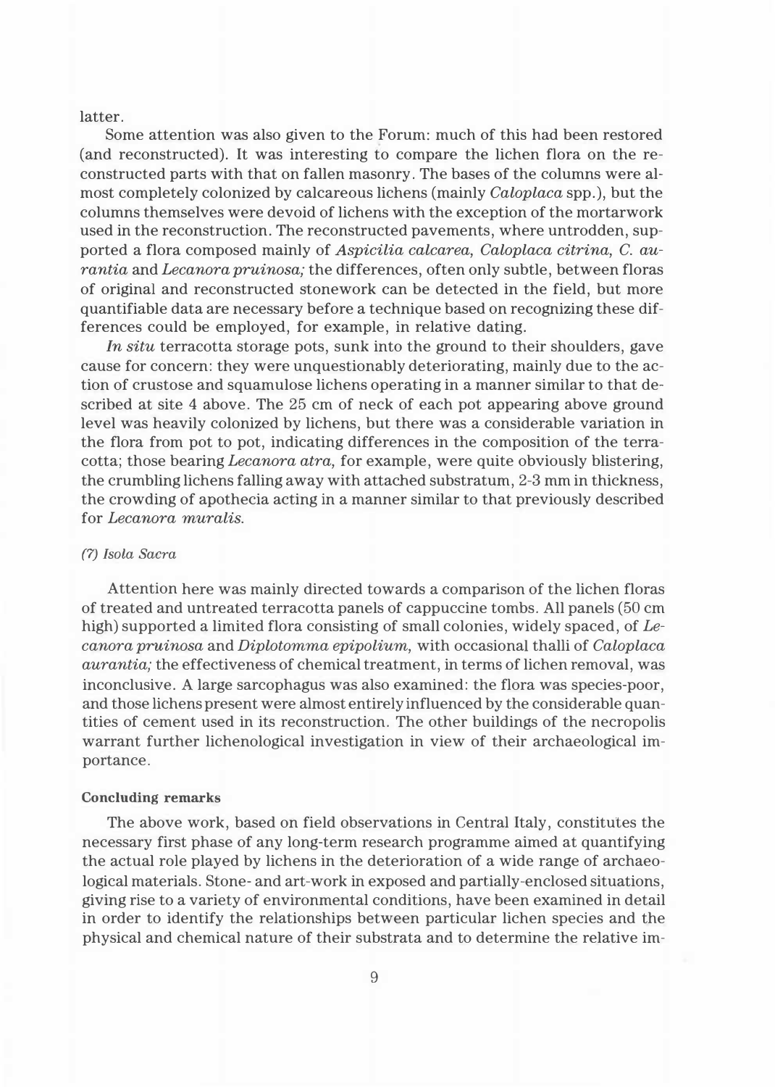latter.

Some attention was also given to the Forum: much of this had been restored (and reconstructed). It was interesting to compare the lichen flora on the reconstructed parts with that on fallen masonry. The bases of the columns were almost completely colonized by calcareous lichens (mainly *Caloplaca* spp.), but the columns themselves were devoid of lichens with the exception of the mortarwork used in the reconstruction. The reconstructed pavements, where untrodden, supported a flora composed mainly of *Aspicilia calcarea, Caloplaca citrina, C. aurantia* and *Lecanora pruinosa;* the differences, often only subtle, between floras of origina! and reconstructed stonework can be detected in the field, but more quantifiable data are necessary before a technique based on recognizing these differences could be employed, for example, in relative dating.

*In situ* terracotta storage pots, sunk into the ground to their shoulders, gave cause for concern: they were unquestionably deteriorating, mainly due to the action of crustose and squamulose lichens operating in a manner similar to that described at site 4 above. The 25 cm of neck of each pot appearing above ground level was heavily colonized by lichens, but there was a considerable variation in the flora from pot to pot, indicating differences in the composition of the terracotta; those bearing *Lecanora atra,* for example, were quite obviously blistering, the crumbling lichens falling away with attached substratum, 2-3 mm in thickness, the crowding of apothecia acting in a manner similar to that previously described for *Lecanora muralis.* 

## *(7) Isola Sacra*

Attention here was mainly directed towards a comparison of the lichen floras of treated and untreated terracotta panels of cappuccine tombs. All panels (50 cm high) supported a limited flora consisting of small colonies, widely spaced, of *Lecanora pruinosa* and *Diplotomma epipolium,* with occasiona! thalli of *Caloplaca aurantia;* the effectiveness of chemical treatment, in terms of lichen removal, was inconclusive. A large sarcophagus was also examined: the flora was species-poor, and those lichens present were almost entirely influenced by the considerable quantities of cement used in its reconstruction. The other buildings of the necropolis warrant further lichenological investigation in view of their archaeological importance.

## **Concluding remarks**

The above work, based on field observations in Central Italy, constitutes the necessary first phase of any long-term research programme aimed at quantifying the actual role played by lichens in the deterioration of a wide range of archaeological materials. Stone- and art-work in exposed and partially-enclosed situations, giving rise to a variety of environmental conditions, have been examined in detail in order to identify the relationships between particular lichen species and the physical and chemical nature of their substrata and to determine the relative im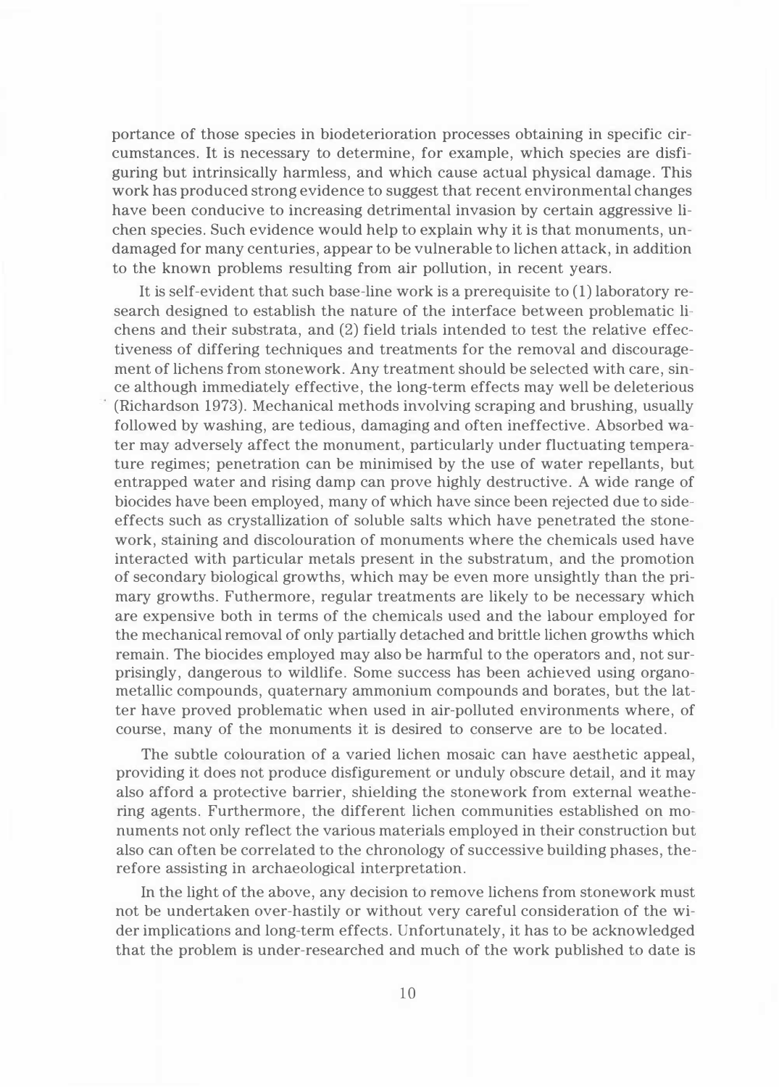portance of those species in biodeterioration processes obtaining in specific circumstances. It is necessary to determine, for example, which species are disfiguring but intrinsically harmless, and which cause actual physical damage. This work has produced strong evidence to suggest that recent environmental changes have been conducive to increasing detrimental invasion by certain aggressive lichen species. Such evidence would help to explain why it is that monuments, undamaged for many centuries, appear to be vulnerable to lichen attack, in addition to the known problems resulting from air pollution, in recent years.

It is self-evident that such base-line work is a prerequisite to (1) laboratory research designed to establish the nature of the interface between problematic lichens and their substrata, and (2) field trials intended to test the relative effectiveness of differing techniques and treatments for the removal and discouragement of lichens from stonework. Any treatment should be selected with care, since although immediately effective, the long-term effects may well be deleterious (Richardson 1973). Mechanical methods involving scraping and brushing, usually followed by washing, are tedious, damaging and often ineffective. Absorbed water may adversely affect the monument, particularly under fluctuating temperature regimes; penetration can be minimised by the use of water repellants, but entrapped water and rising damp can prove highly destructive. A wide range of biocides have been employed, many of which have since been rejected due to sideeffects such as crystallization of soluble salts which have penetrated the stonework, staining and discolouration of monuments where the chemicals used have interacted with particular metals present in the substratum, and the promotion of secondary biologica! growths, which may be even more unsightly than the primary growths. Futhermore, regular treatments are likely to be necessary which are expensive both in terms of the chemicals used and the labour employed for the mechanical removal of only partially detached and brittle lichen growths which remain. The biocides employed may also be harmful to the operators and, not surprisingly, dangerous to wildlife. Some success has been achieved using organometallic compounds, quaternary ammonium compounds and borates, but the latter have proved problematic when used in air-polluted environments where, of course, many of the monuments it is desired to conserve are to be located.

The subtle colouration of a varied lichen mosaic can have aesthetic appeal, providing it does not produce disfigurement or unduly obscure detail, and it may also afford a protective barrier, shielding the stonework from external weathering agents. Furthermore, the different lichen communities established on monuments not only reflect the various materials employed in their construction but also can often be correlated to the chronology of successive building phases, therefore assisting in archaeological interpretation.

In the light of the above, any decision to remove lichens from stonework must not be undertaken over-hastily or without very careful consideration of the wider implications and long-term effects. Unfortunately, it has to be acknowledged that the problem is under-researched and much of the work published to date is